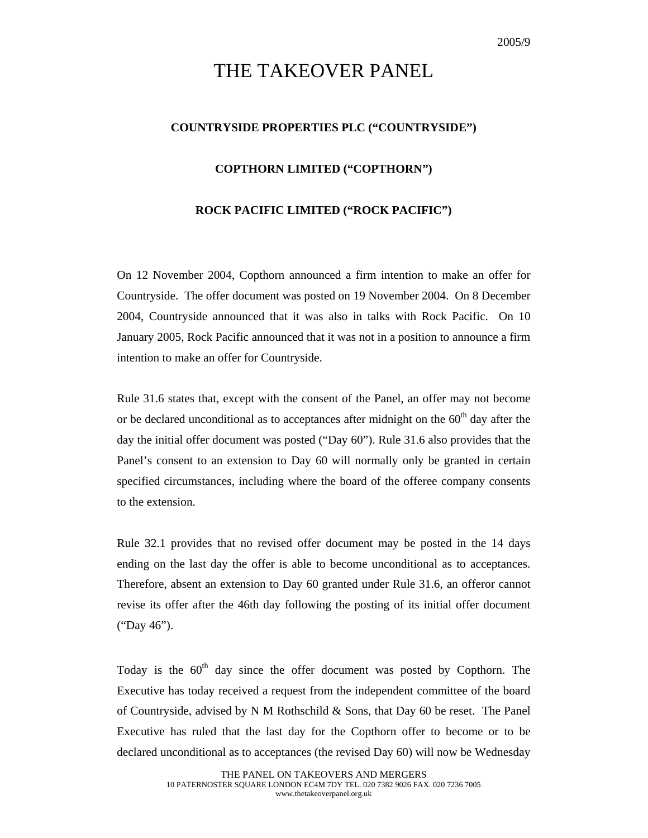## THE TAKEOVER PANEL

## **COUNTRYSIDE PROPERTIES PLC ("COUNTRYSIDE")**

## **COPTHORN LIMITED ("COPTHORN")**

## **ROCK PACIFIC LIMITED ("ROCK PACIFIC")**

On 12 November 2004, Copthorn announced a firm intention to make an offer for Countryside. The offer document was posted on 19 November 2004. On 8 December 2004, Countryside announced that it was also in talks with Rock Pacific. On 10 January 2005, Rock Pacific announced that it was not in a position to announce a firm intention to make an offer for Countryside.

Rule 31.6 states that, except with the consent of the Panel, an offer may not become or be declared unconditional as to acceptances after midnight on the  $60<sup>th</sup>$  day after the day the initial offer document was posted ("Day 60"). Rule 31.6 also provides that the Panel's consent to an extension to Day 60 will normally only be granted in certain specified circumstances, including where the board of the offeree company consents to the extension.

Rule 32.1 provides that no revised offer document may be posted in the 14 days ending on the last day the offer is able to become unconditional as to acceptances. Therefore, absent an extension to Day 60 granted under Rule 31.6, an offeror cannot revise its offer after the 46th day following the posting of its initial offer document ("Day 46").

Today is the  $60<sup>th</sup>$  day since the offer document was posted by Copthorn. The Executive has today received a request from the independent committee of the board of Countryside, advised by N M Rothschild & Sons, that Day 60 be reset. The Panel Executive has ruled that the last day for the Copthorn offer to become or to be declared unconditional as to acceptances (the revised Day 60) will now be Wednesday